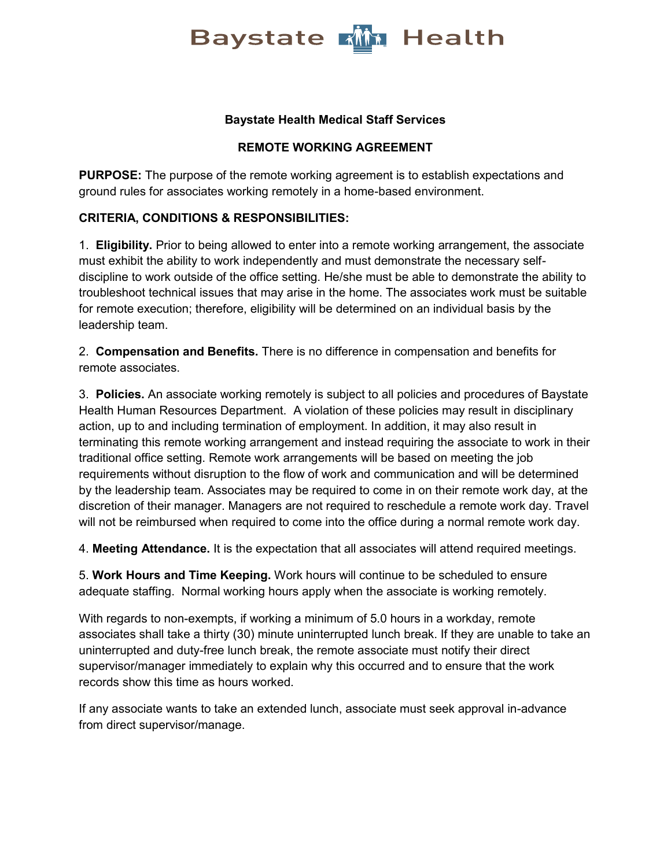

### **Baystate Health Medical Staff Services**

### **REMOTE WORKING AGREEMENT**

**PURPOSE:** The purpose of the remote working agreement is to establish expectations and ground rules for associates working remotely in a home-based environment.

#### **CRITERIA, CONDITIONS & RESPONSIBILITIES:**

1. **Eligibility.** Prior to being allowed to enter into a remote working arrangement, the associate must exhibit the ability to work independently and must demonstrate the necessary selfdiscipline to work outside of the office setting. He/she must be able to demonstrate the ability to troubleshoot technical issues that may arise in the home. The associates work must be suitable for remote execution; therefore, eligibility will be determined on an individual basis by the leadership team.

2. **Compensation and Benefits.** There is no difference in compensation and benefits for remote associates.

3. **Policies.** An associate working remotely is subject to all policies and procedures of Baystate Health Human Resources Department. A violation of these policies may result in disciplinary action, up to and including termination of employment. In addition, it may also result in terminating this remote working arrangement and instead requiring the associate to work in their traditional office setting. Remote work arrangements will be based on meeting the job requirements without disruption to the flow of work and communication and will be determined by the leadership team. Associates may be required to come in on their remote work day, at the discretion of their manager. Managers are not required to reschedule a remote work day. Travel will not be reimbursed when required to come into the office during a normal remote work day.

4. **Meeting Attendance.** It is the expectation that all associates will attend required meetings.

5. **Work Hours and Time Keeping.** Work hours will continue to be scheduled to ensure adequate staffing. Normal working hours apply when the associate is working remotely.

With regards to non-exempts, if working a minimum of 5.0 hours in a workday, remote associates shall take a thirty (30) minute uninterrupted lunch break. If they are unable to take an uninterrupted and duty-free lunch break, the remote associate must notify their direct supervisor/manager immediately to explain why this occurred and to ensure that the work records show this time as hours worked.

If any associate wants to take an extended lunch, associate must seek approval in-advance from direct supervisor/manage.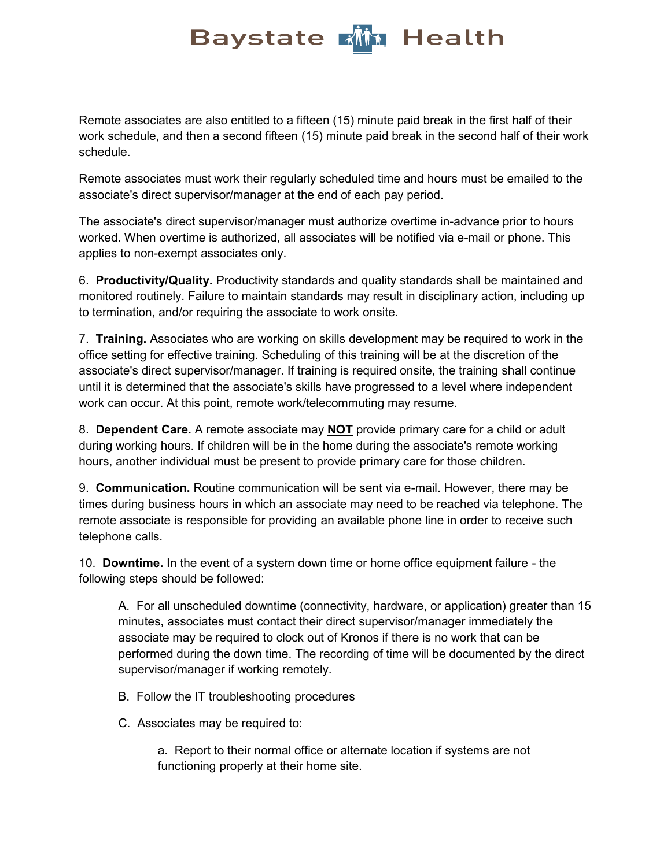Remote associates are also entitled to a fifteen (15) minute paid break in the first half of their work schedule, and then a second fifteen (15) minute paid break in the second half of their work schedule.

Remote associates must work their regularly scheduled time and hours must be emailed to the associate's direct supervisor/manager at the end of each pay period.

The associate's direct supervisor/manager must authorize overtime in-advance prior to hours worked. When overtime is authorized, all associates will be notified via e-mail or phone. This applies to non-exempt associates only.

6. **Productivity/Quality.** Productivity standards and quality standards shall be maintained and monitored routinely. Failure to maintain standards may result in disciplinary action, including up to termination, and/or requiring the associate to work onsite.

7. **Training.** Associates who are working on skills development may be required to work in the office setting for effective training. Scheduling of this training will be at the discretion of the associate's direct supervisor/manager. If training is required onsite, the training shall continue until it is determined that the associate's skills have progressed to a level where independent work can occur. At this point, remote work/telecommuting may resume.

8. **Dependent Care.** A remote associate may **NOT** provide primary care for a child or adult during working hours. If children will be in the home during the associate's remote working hours, another individual must be present to provide primary care for those children.

9. **Communication.** Routine communication will be sent via e-mail. However, there may be times during business hours in which an associate may need to be reached via telephone. The remote associate is responsible for providing an available phone line in order to receive such telephone calls.

10. **Downtime.** In the event of a system down time or home office equipment failure - the following steps should be followed:

A. For all unscheduled downtime (connectivity, hardware, or application) greater than 15 minutes, associates must contact their direct supervisor/manager immediately the associate may be required to clock out of Kronos if there is no work that can be performed during the down time. The recording of time will be documented by the direct supervisor/manager if working remotely.

- B. Follow the IT troubleshooting procedures
- C. Associates may be required to:

a. Report to their normal office or alternate location if systems are not functioning properly at their home site.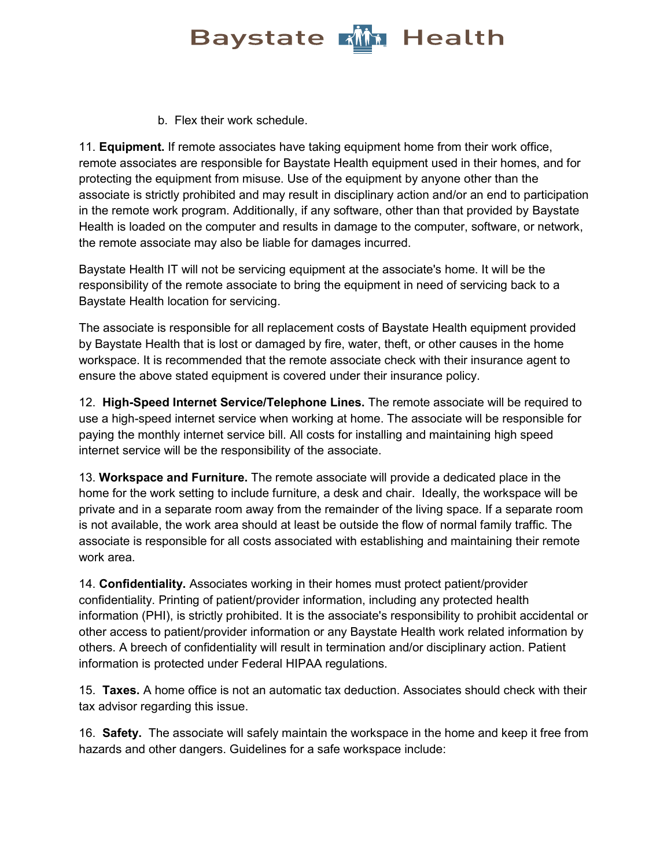b. Flex their work schedule.

11. **Equipment.** If remote associates have taking equipment home from their work office, remote associates are responsible for Baystate Health equipment used in their homes, and for protecting the equipment from misuse. Use of the equipment by anyone other than the associate is strictly prohibited and may result in disciplinary action and/or an end to participation in the remote work program. Additionally, if any software, other than that provided by Baystate Health is loaded on the computer and results in damage to the computer, software, or network, the remote associate may also be liable for damages incurred.

Baystate Health IT will not be servicing equipment at the associate's home. It will be the responsibility of the remote associate to bring the equipment in need of servicing back to a Baystate Health location for servicing.

The associate is responsible for all replacement costs of Baystate Health equipment provided by Baystate Health that is lost or damaged by fire, water, theft, or other causes in the home workspace. It is recommended that the remote associate check with their insurance agent to ensure the above stated equipment is covered under their insurance policy.

12. **High-Speed Internet Service/Telephone Lines.** The remote associate will be required to use a high-speed internet service when working at home. The associate will be responsible for paying the monthly internet service bill. All costs for installing and maintaining high speed internet service will be the responsibility of the associate.

13. **Workspace and Furniture.** The remote associate will provide a dedicated place in the home for the work setting to include furniture, a desk and chair. Ideally, the workspace will be private and in a separate room away from the remainder of the living space. If a separate room is not available, the work area should at least be outside the flow of normal family traffic. The associate is responsible for all costs associated with establishing and maintaining their remote work area.

14. **Confidentiality.** Associates working in their homes must protect patient/provider confidentiality. Printing of patient/provider information, including any protected health information (PHI), is strictly prohibited. It is the associate's responsibility to prohibit accidental or other access to patient/provider information or any Baystate Health work related information by others. A breech of confidentiality will result in termination and/or disciplinary action. Patient information is protected under Federal HIPAA regulations.

15. **Taxes.** A home office is not an automatic tax deduction. Associates should check with their tax advisor regarding this issue.

16. **Safety.** The associate will safely maintain the workspace in the home and keep it free from hazards and other dangers. Guidelines for a safe workspace include: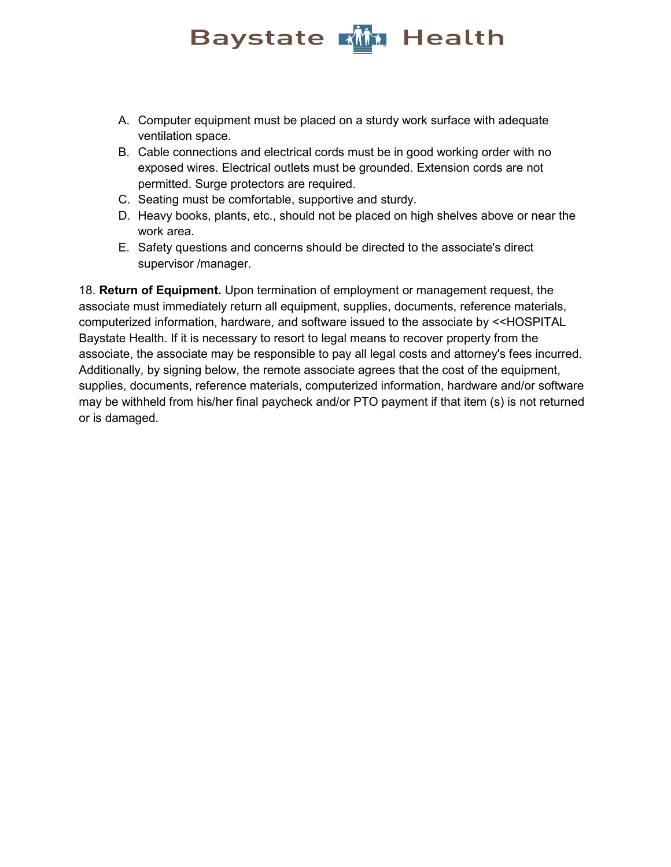- A. Computer equipment must be placed on a sturdy work surface with adequate ventilation space.
- B. Cable connections and electrical cords must be in good working order with no exposed wires. Electrical outlets must be grounded. Extension cords are not permitted. Surge protectors are required.
- C. Seating must be comfortable, supportive and sturdy.
- D. Heavy books, plants, etc., should not be placed on high shelves above or near the work area.
- E. Safety questions and concerns should be directed to the associate's direct supervisor /manager.

18. **Return of Equipment.** Upon termination of employment or management request, the associate must immediately return all equipment, supplies, documents, reference materials, computerized information, hardware, and software issued to the associate by <<HOSPITAL Baystate Health. If it is necessary to resort to legal means to recover property from the associate, the associate may be responsible to pay all legal costs and attorney's fees incurred. Additionally, by signing below, the remote associate agrees that the cost of the equipment, supplies, documents, reference materials, computerized information, hardware and/or software may be withheld from his/her final paycheck and/or PTO payment if that item (s) is not returned or is damaged.